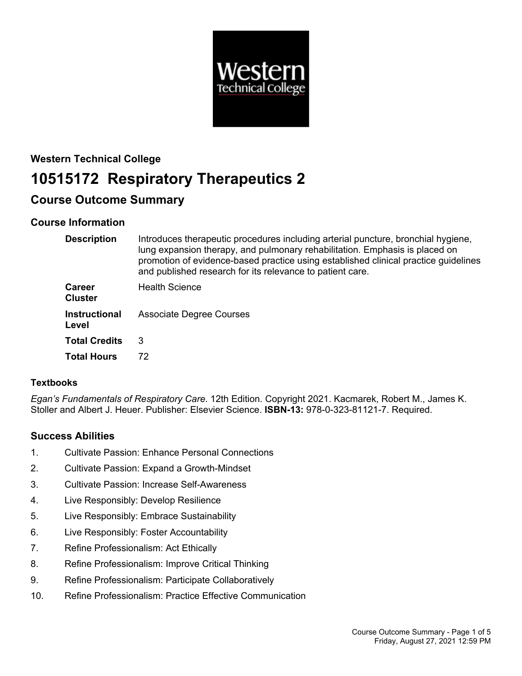

# **Western Technical College 10515172 Respiratory Therapeutics 2**

# **Course Outcome Summary**

# **Course Information**

| <b>Description</b>              | Introduces therapeutic procedures including arterial puncture, bronchial hygiene,<br>lung expansion therapy, and pulmonary rehabilitation. Emphasis is placed on<br>promotion of evidence-based practice using established clinical practice guidelines<br>and published research for its relevance to patient care. |
|---------------------------------|----------------------------------------------------------------------------------------------------------------------------------------------------------------------------------------------------------------------------------------------------------------------------------------------------------------------|
| <b>Career</b><br><b>Cluster</b> | <b>Health Science</b>                                                                                                                                                                                                                                                                                                |
| <b>Instructional</b><br>Level   | <b>Associate Degree Courses</b>                                                                                                                                                                                                                                                                                      |
| <b>Total Credits</b>            | 3                                                                                                                                                                                                                                                                                                                    |
| <b>Total Hours</b>              | 72                                                                                                                                                                                                                                                                                                                   |

# **Textbooks**

*Egan's Fundamentals of Respiratory Care*. 12th Edition. Copyright 2021. Kacmarek, Robert M., James K. Stoller and Albert J. Heuer. Publisher: Elsevier Science. **ISBN-13:** 978-0-323-81121-7. Required.

# **Success Abilities**

- 1. Cultivate Passion: Enhance Personal Connections
- 2. Cultivate Passion: Expand a Growth-Mindset
- 3. Cultivate Passion: Increase Self-Awareness
- 4. Live Responsibly: Develop Resilience
- 5. Live Responsibly: Embrace Sustainability
- 6. Live Responsibly: Foster Accountability
- 7. Refine Professionalism: Act Ethically
- 8. Refine Professionalism: Improve Critical Thinking
- 9. Refine Professionalism: Participate Collaboratively
- 10. Refine Professionalism: Practice Effective Communication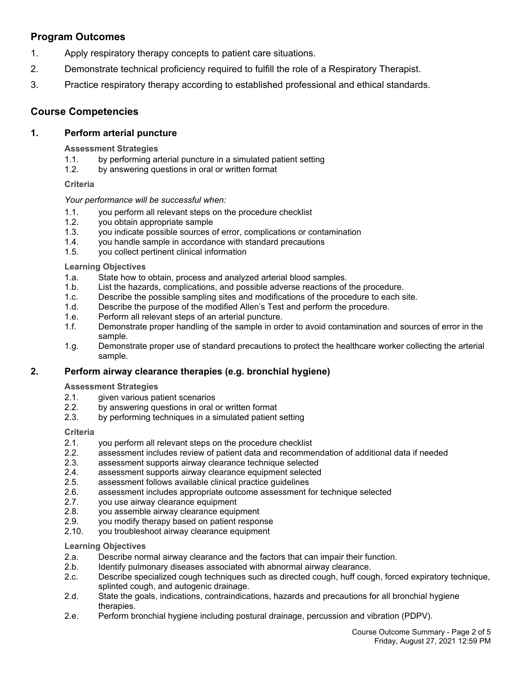# **Program Outcomes**

- 1. Apply respiratory therapy concepts to patient care situations.
- 2. Demonstrate technical proficiency required to fulfill the role of a Respiratory Therapist.
- 3. Practice respiratory therapy according to established professional and ethical standards.

# **Course Competencies**

# **1. Perform arterial puncture**

**Assessment Strategies**

- 1.1. by performing arterial puncture in a simulated patient setting
- 1.2. by answering questions in oral or written format

# **Criteria**

# *Your performance will be successful when:*

- 1.1. you perform all relevant steps on the procedure checklist
- 1.2. you obtain appropriate sample
- 1.3. you indicate possible sources of error, complications or contamination
- 1.4. you handle sample in accordance with standard precautions
- 1.5. you collect pertinent clinical information

#### **Learning Objectives**

- 1.a. State how to obtain, process and analyzed arterial blood samples.
- 1.b. List the hazards, complications, and possible adverse reactions of the procedure.
- 1.c. Describe the possible sampling sites and modifications of the procedure to each site.
- 1.d. Describe the purpose of the modified Allen's Test and perform the procedure.
- 1.e. Perform all relevant steps of an arterial puncture.
- 1.f. Demonstrate proper handling of the sample in order to avoid contamination and sources of error in the sample.
- 1.g. Demonstrate proper use of standard precautions to protect the healthcare worker collecting the arterial sample.

# **2. Perform airway clearance therapies (e.g. bronchial hygiene)**

#### **Assessment Strategies**

- 2.1. given various patient scenarios
- 2.2. by answering questions in oral or written format
- 2.3. by performing techniques in a simulated patient setting

#### **Criteria**

- 2.1. you perform all relevant steps on the procedure checklist
- 2.2. assessment includes review of patient data and recommendation of additional data if needed
- 2.3. assessment supports airway clearance technique selected
- 2.4. assessment supports airway clearance equipment selected
- 2.5. assessment follows available clinical practice guidelines
- 2.6. assessment includes appropriate outcome assessment for technique selected
- 2.7. you use airway clearance equipment
- 2.8. you assemble airway clearance equipment
- 2.9. you modify therapy based on patient response
- 2.10. you troubleshoot airway clearance equipment

# **Learning Objectives**

- 2.a. Describe normal airway clearance and the factors that can impair their function.
- 2.b. Identify pulmonary diseases associated with abnormal airway clearance.
- 2.c. Describe specialized cough techniques such as directed cough, huff cough, forced expiratory technique, splinted cough, and autogenic drainage.
- 2.d. State the goals, indications, contraindications, hazards and precautions for all bronchial hygiene therapies.
- 2.e. Perform bronchial hygiene including postural drainage, percussion and vibration (PDPV).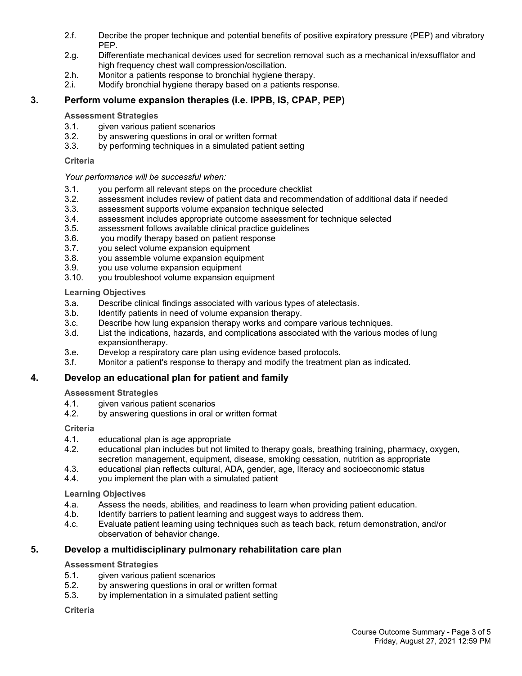- 2.f. Decribe the proper technique and potential benefits of positive expiratory pressure (PEP) and vibratory PEP.
- 2.g. Differentiate mechanical devices used for secretion removal such as a mechanical in/exsufflator and high frequency chest wall compression/oscillation.
- 2.h. Monitor a patients response to bronchial hygiene therapy.
- 2.i. Modify bronchial hygiene therapy based on a patients response.

# **3. Perform volume expansion therapies (i.e. IPPB, IS, CPAP, PEP)**

#### **Assessment Strategies**

- 3.1. given various patient scenarios
- 3.2. by answering questions in oral or written format
- 3.3. by performing techniques in a simulated patient setting

### **Criteria**

### *Your performance will be successful when:*

- 3.1. you perform all relevant steps on the procedure checklist
- 3.2. assessment includes review of patient data and recommendation of additional data if needed
- 3.3. assessment supports volume expansion technique selected
- 3.4. assessment includes appropriate outcome assessment for technique selected
- 3.5. assessment follows available clinical practice guidelines
- 3.6. you modify therapy based on patient response
- 3.7. you select volume expansion equipment
- 3.8. you assemble volume expansion equipment
- 3.9. you use volume expansion equipment
- 3.10. you troubleshoot volume expansion equipment

### **Learning Objectives**

- 3.a. Describe clinical findings associated with various types of atelectasis.
- 3.b. Identify patients in need of volume expansion therapy.
- 3.c. Describe how lung expansion therapy works and compare various techniques.
- 3.d. List the indications, hazards, and complications associated with the various modes of lung expansiontherapy.
- 3.e. Develop a respiratory care plan using evidence based protocols.
- 3.f. Monitor a patient's response to therapy and modify the treatment plan as indicated.

# **4. Develop an educational plan for patient and family**

# **Assessment Strategies**

- 4.1. given various patient scenarios<br>4.2. by answering questions in oral of
- by answering questions in oral or written format

# **Criteria**

- 4.1. educational plan is age appropriate
- 4.2. educational plan includes but not limited to therapy goals, breathing training, pharmacy, oxygen, secretion management, equipment, disease, smoking cessation, nutrition as appropriate
- 4.3. educational plan reflects cultural, ADA, gender, age, literacy and socioeconomic status
- 4.4. you implement the plan with a simulated patient

#### **Learning Objectives**

- 4.a. Assess the needs, abilities, and readiness to learn when providing patient education.
- 4.b. Identify barriers to patient learning and suggest ways to address them.
- 4.c. Evaluate patient learning using techniques such as teach back, return demonstration, and/or observation of behavior change.

# **5. Develop a multidisciplinary pulmonary rehabilitation care plan**

#### **Assessment Strategies**

- 5.1. given various patient scenarios
- 5.2. by answering questions in oral or written format
- 5.3. by implementation in a simulated patient setting

#### **Criteria**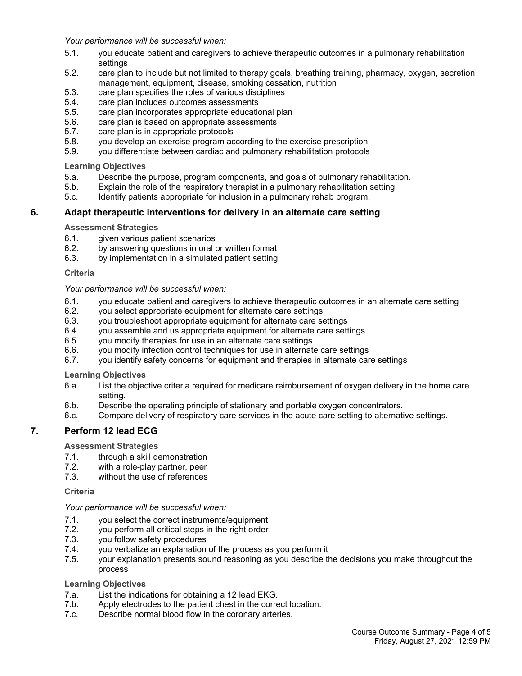*Your performance will be successful when:*

- 5.1. you educate patient and caregivers to achieve therapeutic outcomes in a pulmonary rehabilitation settings
- 5.2. care plan to include but not limited to therapy goals, breathing training, pharmacy, oxygen, secretion management, equipment, disease, smoking cessation, nutrition
- 5.3. care plan specifies the roles of various disciplines
- 5.4. care plan includes outcomes assessments<br>5.5. care plan incorporates appropriate education
- care plan incorporates appropriate educational plan
- 5.6. care plan is based on appropriate assessments
- 5.7. care plan is in appropriate protocols
- 5.8. you develop an exercise program according to the exercise prescription
- 5.9. you differentiate between cardiac and pulmonary rehabilitation protocols

**Learning Objectives**

- 5.a. Describe the purpose, program components, and goals of pulmonary rehabilitation.
- 5.b. Explain the role of the respiratory therapist in a pulmonary rehabilitation setting
- 5.c. Identify patients appropriate for inclusion in a pulmonary rehab program.

#### **6. Adapt therapeutic interventions for delivery in an alternate care setting**

**Assessment Strategies**

- 6.1. given various patient scenarios
- 6.2. by answering questions in oral or written format
- 6.3. by implementation in a simulated patient setting

**Criteria**

#### *Your performance will be successful when:*

- 6.1. you educate patient and caregivers to achieve therapeutic outcomes in an alternate care setting
- 6.2. you select appropriate equipment for alternate care settings
- 6.3. you troubleshoot appropriate equipment for alternate care settings
- 6.4. you assemble and us appropriate equipment for alternate care settings
- 6.5. you modify therapies for use in an alternate care settings
- 6.6. you modify infection control techniques for use in alternate care settings
- 6.7. you identify safety concerns for equipment and therapies in alternate care settings

**Learning Objectives**

- 6.a. List the objective criteria required for medicare reimbursement of oxygen delivery in the home care setting.
- 6.b. Describe the operating principle of stationary and portable oxygen concentrators.
- 6.c. Compare delivery of respiratory care services in the acute care setting to alternative settings.

# **7. Perform 12 lead ECG**

**Assessment Strategies**

- 7.1. through a skill demonstration
- 7.2. with a role-play partner, peer
- 7.3. without the use of references

#### **Criteria**

*Your performance will be successful when:*

- 7.1. you select the correct instruments/equipment
- 7.2. you perform all critical steps in the right order
- 7.3. you follow safety procedures
- 7.4. you verbalize an explanation of the process as you perform it
- 7.5. your explanation presents sound reasoning as you describe the decisions you make throughout the process

#### **Learning Objectives**

- 7.a. List the indications for obtaining a 12 lead EKG.
- 7.b. Apply electrodes to the patient chest in the correct location.
- 7.c. Describe normal blood flow in the coronary arteries.